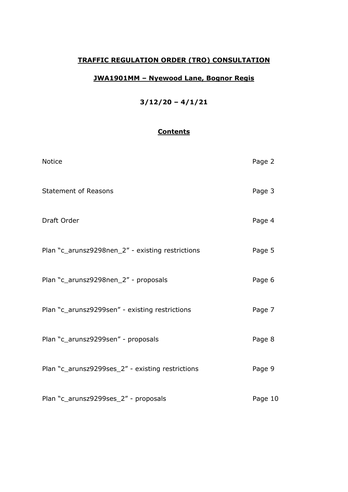# **TRAFFIC REGULATION ORDER (TRO) CONSULTATION**

## **JWA1901MM – Nyewood Lane, Bognor Regis**

# **3/12/20 – 4/1/21**

## **Contents**

| <b>Notice</b>                                    | Page 2  |
|--------------------------------------------------|---------|
| <b>Statement of Reasons</b>                      | Page 3  |
| Draft Order                                      | Page 4  |
| Plan "c_arunsz9298nen_2" - existing restrictions | Page 5  |
| Plan "c_arunsz9298nen_2" - proposals             | Page 6  |
| Plan "c_arunsz9299sen" - existing restrictions   | Page 7  |
| Plan "c_arunsz9299sen" - proposals               | Page 8  |
| Plan "c_arunsz9299ses_2" - existing restrictions | Page 9  |
| Plan "c_arunsz9299ses_2" - proposals             | Page 10 |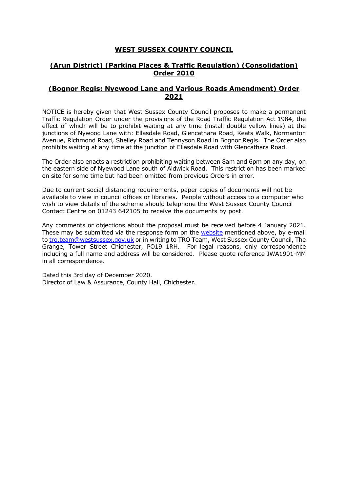#### **WEST SUSSEX COUNTY COUNCIL**

### **(Arun District) (Parking Places & Traffic Regulation) (Consolidation) Order 2010**

#### **(Bognor Regis: Nyewood Lane and Various Roads Amendment) Order 2021**

NOTICE is hereby given that West Sussex County Council proposes to make a permanent Traffic Regulation Order under the provisions of the Road Traffic Regulation Act 1984, the effect of which will be to prohibit waiting at any time (install double yellow lines) at the junctions of Nywood Lane with: Ellasdale Road, Glencathara Road, Keats Walk, Normanton Avenue, Richmond Road, Shelley Road and Tennyson Road in Bognor Regis. The Order also prohibits waiting at any time at the junction of Ellasdale Road with Glencathara Road.

The Order also enacts a restriction prohibiting waiting between 8am and 6pm on any day, on the eastern side of Nyewood Lane south of Aldwick Road. This restriction has been marked on site for some time but had been omitted from previous Orders in error.

Due to current social distancing requirements, paper copies of documents will not be available to view in council offices or libraries. People without access to a computer who wish to view details of the scheme should telephone the West Sussex County Council Contact Centre on 01243 642105 to receive the documents by post.

Any comments or objections about the proposal must be received before 4 January 2021. These may be submitted via the response form on the [website](https://www.westsussex.gov.uk/roads-and-travel/traffic-regulation-orders/) mentioned above, by e-mail to [tro.team@westsussex.gov.uk](mailto:tro.team@westsussex.gov.uk) or in writing to TRO Team, West Sussex County Council, The Grange, Tower Street Chichester, PO19 1RH. For legal reasons, only correspondence including a full name and address will be considered. Please quote reference JWA1901-MM in all correspondence.

Dated this 3rd day of December 2020. Director of Law & Assurance, County Hall, Chichester.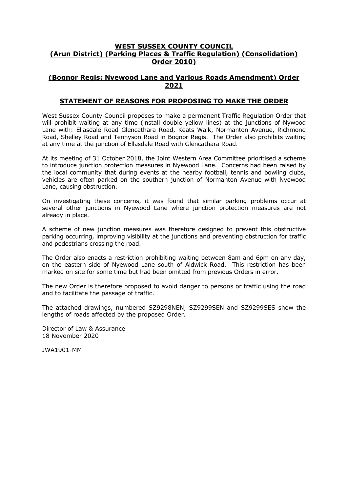#### **WEST SUSSEX COUNTY COUNCIL (Arun District) (Parking Places & Traffic Regulation) (Consolidation) Order 2010)**

#### **(Bognor Regis: Nyewood Lane and Various Roads Amendment) Order 2021**

#### **STATEMENT OF REASONS FOR PROPOSING TO MAKE THE ORDER**

West Sussex County Council proposes to make a permanent Traffic Regulation Order that will prohibit waiting at any time (install double yellow lines) at the junctions of Nywood Lane with: Ellasdale Road Glencathara Road, Keats Walk, Normanton Avenue, Richmond Road, Shelley Road and Tennyson Road in Bognor Regis. The Order also prohibits waiting at any time at the junction of Ellasdale Road with Glencathara Road.

At its meeting of 31 October 2018, the Joint Western Area Committee prioritised a scheme to introduce junction protection measures in Nyewood Lane. Concerns had been raised by the local community that during events at the nearby football, tennis and bowling clubs, vehicles are often parked on the southern junction of Normanton Avenue with Nyewood Lane, causing obstruction.

On investigating these concerns, it was found that similar parking problems occur at several other junctions in Nyewood Lane where junction protection measures are not already in place.

A scheme of new junction measures was therefore designed to prevent this obstructive parking occurring, improving visibility at the junctions and preventing obstruction for traffic and pedestrians crossing the road.

The Order also enacts a restriction prohibiting waiting between 8am and 6pm on any day, on the eastern side of Nyewood Lane south of Aldwick Road. This restriction has been marked on site for some time but had been omitted from previous Orders in error.

The new Order is therefore proposed to avoid danger to persons or traffic using the road and to facilitate the passage of traffic.

The attached drawings, numbered SZ9298NEN, SZ9299SEN and SZ9299SES show the lengths of roads affected by the proposed Order.

Director of Law & Assurance 18 November 2020

JWA1901-MM